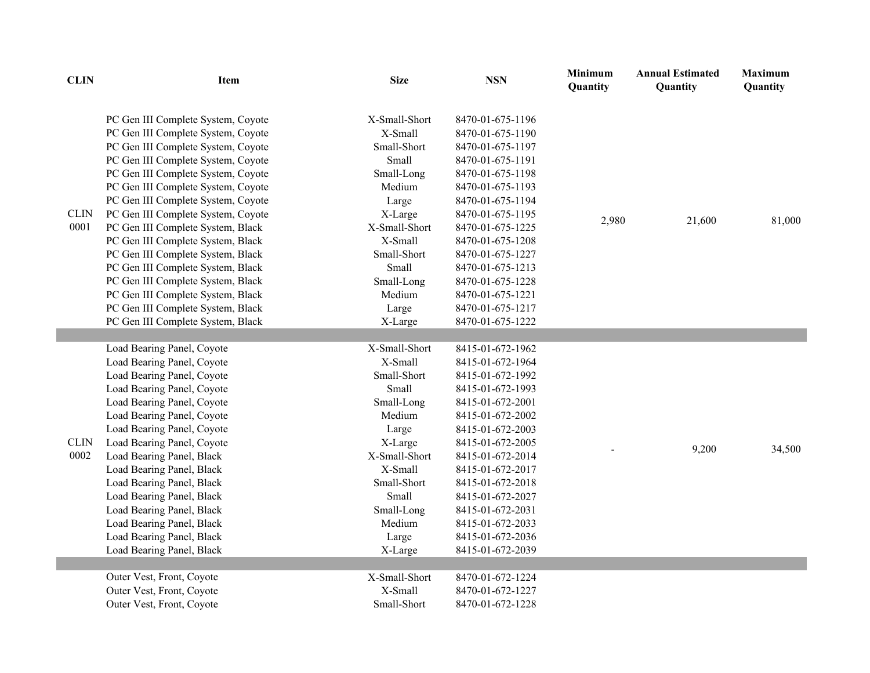| <b>CLIN</b>         | <b>Item</b>                                                                                                                                                                                                                                                                                                                                                                                                                                                                                                                                                                                                          | <b>Size</b>                                                                                                                                                                                  | <b>NSN</b>                                                                                                                                                                                                                                                                                                                   | <b>Minimum</b><br>Quantity | <b>Annual Estimated</b><br>Quantity | <b>Maximum</b><br>Quantity |
|---------------------|----------------------------------------------------------------------------------------------------------------------------------------------------------------------------------------------------------------------------------------------------------------------------------------------------------------------------------------------------------------------------------------------------------------------------------------------------------------------------------------------------------------------------------------------------------------------------------------------------------------------|----------------------------------------------------------------------------------------------------------------------------------------------------------------------------------------------|------------------------------------------------------------------------------------------------------------------------------------------------------------------------------------------------------------------------------------------------------------------------------------------------------------------------------|----------------------------|-------------------------------------|----------------------------|
| <b>CLIN</b><br>0001 | PC Gen III Complete System, Coyote<br>PC Gen III Complete System, Coyote<br>PC Gen III Complete System, Coyote<br>PC Gen III Complete System, Coyote<br>PC Gen III Complete System, Coyote<br>PC Gen III Complete System, Coyote<br>PC Gen III Complete System, Coyote<br>PC Gen III Complete System, Coyote<br>PC Gen III Complete System, Black<br>PC Gen III Complete System, Black<br>PC Gen III Complete System, Black<br>PC Gen III Complete System, Black<br>PC Gen III Complete System, Black<br>PC Gen III Complete System, Black<br>PC Gen III Complete System, Black<br>PC Gen III Complete System, Black | X-Small-Short<br>X-Small<br>Small-Short<br>Small<br>Small-Long<br>Medium<br>Large<br>X-Large<br>X-Small-Short<br>X-Small<br>Small-Short<br>Small<br>Small-Long<br>Medium<br>Large<br>X-Large | 8470-01-675-1196<br>8470-01-675-1190<br>8470-01-675-1197<br>8470-01-675-1191<br>8470-01-675-1198<br>8470-01-675-1193<br>8470-01-675-1194<br>8470-01-675-1195<br>8470-01-675-1225<br>8470-01-675-1208<br>8470-01-675-1227<br>8470-01-675-1213<br>8470-01-675-1228<br>8470-01-675-1221<br>8470-01-675-1217<br>8470-01-675-1222 | 2,980                      | 21,600                              | 81,000                     |
|                     |                                                                                                                                                                                                                                                                                                                                                                                                                                                                                                                                                                                                                      |                                                                                                                                                                                              |                                                                                                                                                                                                                                                                                                                              |                            |                                     |                            |
| <b>CLIN</b><br>0002 | Load Bearing Panel, Coyote<br>Load Bearing Panel, Coyote<br>Load Bearing Panel, Coyote<br>Load Bearing Panel, Coyote<br>Load Bearing Panel, Coyote<br>Load Bearing Panel, Coyote<br>Load Bearing Panel, Coyote<br>Load Bearing Panel, Coyote<br>Load Bearing Panel, Black<br>Load Bearing Panel, Black<br>Load Bearing Panel, Black<br>Load Bearing Panel, Black<br>Load Bearing Panel, Black<br>Load Bearing Panel, Black<br>Load Bearing Panel, Black<br>Load Bearing Panel, Black                                                                                                                                 | X-Small-Short<br>X-Small<br>Small-Short<br>Small<br>Small-Long<br>Medium<br>Large<br>X-Large<br>X-Small-Short<br>X-Small<br>Small-Short<br>Small<br>Small-Long<br>Medium<br>Large<br>X-Large | 8415-01-672-1962<br>8415-01-672-1964<br>8415-01-672-1992<br>8415-01-672-1993<br>8415-01-672-2001<br>8415-01-672-2002<br>8415-01-672-2003<br>8415-01-672-2005<br>8415-01-672-2014<br>8415-01-672-2017<br>8415-01-672-2018<br>8415-01-672-2027<br>8415-01-672-2031<br>8415-01-672-2033<br>8415-01-672-2036<br>8415-01-672-2039 |                            | 9,200                               | 34,500                     |
|                     | Outer Vest, Front, Coyote                                                                                                                                                                                                                                                                                                                                                                                                                                                                                                                                                                                            | X-Small-Short                                                                                                                                                                                |                                                                                                                                                                                                                                                                                                                              |                            |                                     |                            |
|                     | Outer Vest, Front, Coyote                                                                                                                                                                                                                                                                                                                                                                                                                                                                                                                                                                                            | X-Small                                                                                                                                                                                      | 8470-01-672-1224<br>8470-01-672-1227                                                                                                                                                                                                                                                                                         |                            |                                     |                            |
|                     | Outer Vest, Front, Coyote                                                                                                                                                                                                                                                                                                                                                                                                                                                                                                                                                                                            | Small-Short                                                                                                                                                                                  | 8470-01-672-1228                                                                                                                                                                                                                                                                                                             |                            |                                     |                            |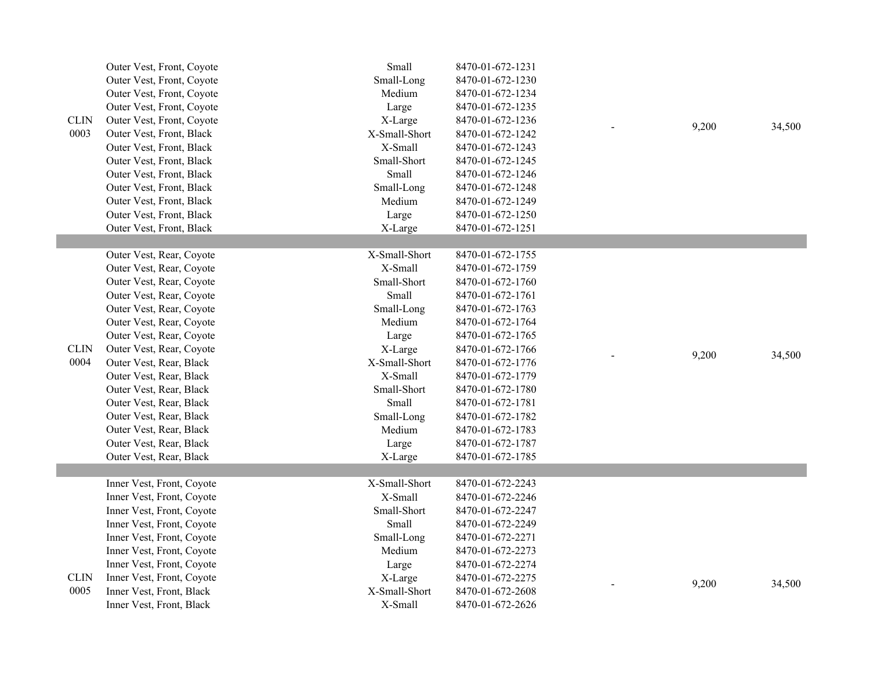|             | Outer Vest, Front, Coyote | Small         | 8470-01-672-1231 |       |        |
|-------------|---------------------------|---------------|------------------|-------|--------|
|             | Outer Vest, Front, Coyote | Small-Long    | 8470-01-672-1230 |       |        |
|             | Outer Vest, Front, Coyote | Medium        | 8470-01-672-1234 |       |        |
|             | Outer Vest, Front, Coyote | Large         | 8470-01-672-1235 |       |        |
| <b>CLIN</b> | Outer Vest, Front, Coyote | X-Large       | 8470-01-672-1236 |       |        |
| 0003        | Outer Vest, Front, Black  | X-Small-Short | 8470-01-672-1242 | 9,200 | 34,500 |
|             | Outer Vest, Front, Black  | X-Small       | 8470-01-672-1243 |       |        |
|             | Outer Vest, Front, Black  | Small-Short   | 8470-01-672-1245 |       |        |
|             | Outer Vest, Front, Black  | Small         | 8470-01-672-1246 |       |        |
|             | Outer Vest, Front, Black  | Small-Long    | 8470-01-672-1248 |       |        |
|             | Outer Vest, Front, Black  | Medium        | 8470-01-672-1249 |       |        |
|             | Outer Vest, Front, Black  | Large         | 8470-01-672-1250 |       |        |
|             | Outer Vest, Front, Black  | X-Large       | 8470-01-672-1251 |       |        |
|             |                           |               |                  |       |        |
|             | Outer Vest, Rear, Coyote  | X-Small-Short | 8470-01-672-1755 |       |        |
|             | Outer Vest, Rear, Coyote  | X-Small       | 8470-01-672-1759 |       |        |
|             | Outer Vest, Rear, Coyote  | Small-Short   | 8470-01-672-1760 |       |        |
|             | Outer Vest, Rear, Coyote  | Small         | 8470-01-672-1761 |       |        |
|             | Outer Vest, Rear, Coyote  | Small-Long    | 8470-01-672-1763 |       |        |
|             | Outer Vest, Rear, Coyote  | Medium        | 8470-01-672-1764 |       |        |
|             | Outer Vest, Rear, Coyote  | Large         | 8470-01-672-1765 |       |        |
| <b>CLIN</b> | Outer Vest, Rear, Coyote  | X-Large       | 8470-01-672-1766 | 9,200 | 34,500 |
| 0004        | Outer Vest, Rear, Black   | X-Small-Short | 8470-01-672-1776 |       |        |
|             | Outer Vest, Rear, Black   | X-Small       | 8470-01-672-1779 |       |        |
|             | Outer Vest, Rear, Black   | Small-Short   | 8470-01-672-1780 |       |        |
|             | Outer Vest, Rear, Black   | Small         | 8470-01-672-1781 |       |        |
|             | Outer Vest, Rear, Black   | Small-Long    | 8470-01-672-1782 |       |        |
|             | Outer Vest, Rear, Black   | Medium        | 8470-01-672-1783 |       |        |
|             | Outer Vest, Rear, Black   | Large         | 8470-01-672-1787 |       |        |
|             | Outer Vest, Rear, Black   | X-Large       | 8470-01-672-1785 |       |        |
|             |                           |               |                  |       |        |
|             | Inner Vest, Front, Coyote | X-Small-Short | 8470-01-672-2243 |       |        |
|             | Inner Vest, Front, Coyote | X-Small       | 8470-01-672-2246 |       |        |
|             | Inner Vest, Front, Coyote | Small-Short   | 8470-01-672-2247 |       |        |
|             | Inner Vest, Front, Coyote | Small         | 8470-01-672-2249 |       |        |
|             | Inner Vest, Front, Coyote | Small-Long    | 8470-01-672-2271 |       |        |
|             | Inner Vest, Front, Coyote | Medium        | 8470-01-672-2273 |       |        |
|             | Inner Vest, Front, Coyote | Large         | 8470-01-672-2274 |       |        |
| <b>CLIN</b> | Inner Vest, Front, Coyote | X-Large       | 8470-01-672-2275 | 9,200 | 34,500 |
| 0005        | Inner Vest, Front, Black  | X-Small-Short | 8470-01-672-2608 |       |        |
|             | Inner Vest, Front, Black  | X-Small       | 8470-01-672-2626 |       |        |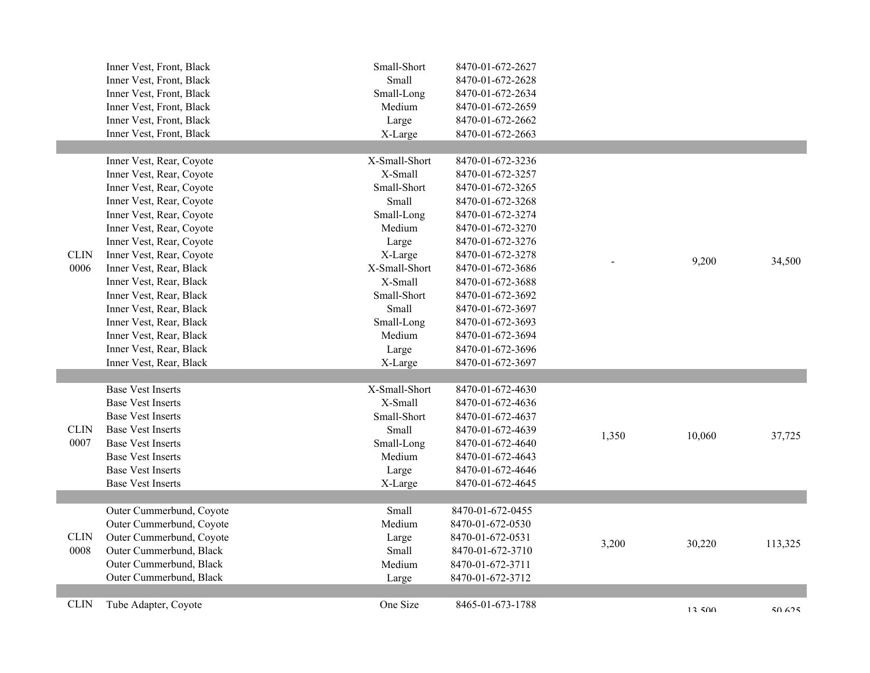|             | Inner Vest, Front, Black | Small-Short   | 8470-01-672-2627 |       |        |         |
|-------------|--------------------------|---------------|------------------|-------|--------|---------|
|             | Inner Vest, Front, Black | Small         | 8470-01-672-2628 |       |        |         |
|             | Inner Vest, Front, Black | Small-Long    | 8470-01-672-2634 |       |        |         |
|             | Inner Vest, Front, Black | Medium        | 8470-01-672-2659 |       |        |         |
|             | Inner Vest, Front, Black | Large         | 8470-01-672-2662 |       |        |         |
|             | Inner Vest, Front, Black | X-Large       | 8470-01-672-2663 |       |        |         |
|             |                          |               |                  |       |        |         |
|             | Inner Vest, Rear, Coyote | X-Small-Short | 8470-01-672-3236 |       |        |         |
|             | Inner Vest, Rear, Coyote | X-Small       | 8470-01-672-3257 |       |        |         |
|             | Inner Vest, Rear, Coyote | Small-Short   | 8470-01-672-3265 |       |        |         |
|             | Inner Vest, Rear, Coyote | Small         | 8470-01-672-3268 |       |        |         |
|             | Inner Vest, Rear, Coyote | Small-Long    | 8470-01-672-3274 |       |        |         |
|             | Inner Vest, Rear, Coyote | Medium        | 8470-01-672-3270 |       |        |         |
|             | Inner Vest, Rear, Coyote | Large         | 8470-01-672-3276 |       |        |         |
| <b>CLIN</b> | Inner Vest, Rear, Coyote | X-Large       | 8470-01-672-3278 |       | 9,200  | 34,500  |
| 0006        | Inner Vest, Rear, Black  | X-Small-Short | 8470-01-672-3686 |       |        |         |
|             | Inner Vest, Rear, Black  | X-Small       | 8470-01-672-3688 |       |        |         |
|             | Inner Vest, Rear, Black  | Small-Short   | 8470-01-672-3692 |       |        |         |
|             | Inner Vest, Rear, Black  | Small         | 8470-01-672-3697 |       |        |         |
|             | Inner Vest, Rear, Black  | Small-Long    | 8470-01-672-3693 |       |        |         |
|             | Inner Vest, Rear, Black  | Medium        | 8470-01-672-3694 |       |        |         |
|             | Inner Vest, Rear, Black  | Large         | 8470-01-672-3696 |       |        |         |
|             | Inner Vest, Rear, Black  | X-Large       | 8470-01-672-3697 |       |        |         |
|             |                          |               |                  |       |        |         |
|             | <b>Base Vest Inserts</b> | X-Small-Short | 8470-01-672-4630 |       |        |         |
|             | <b>Base Vest Inserts</b> | X-Small       | 8470-01-672-4636 |       |        |         |
|             | <b>Base Vest Inserts</b> | Small-Short   | 8470-01-672-4637 |       |        |         |
| <b>CLIN</b> | <b>Base Vest Inserts</b> | Small         | 8470-01-672-4639 | 1,350 | 10,060 | 37,725  |
| 0007        | <b>Base Vest Inserts</b> | Small-Long    | 8470-01-672-4640 |       |        |         |
|             | <b>Base Vest Inserts</b> | Medium        | 8470-01-672-4643 |       |        |         |
|             | <b>Base Vest Inserts</b> | Large         | 8470-01-672-4646 |       |        |         |
|             | <b>Base Vest Inserts</b> | X-Large       | 8470-01-672-4645 |       |        |         |
|             |                          |               |                  |       |        |         |
|             | Outer Cummerbund, Coyote | Small         | 8470-01-672-0455 |       |        |         |
|             | Outer Cummerbund, Coyote | Medium        | 8470-01-672-0530 |       |        |         |
| <b>CLIN</b> | Outer Cummerbund, Coyote | Large         | 8470-01-672-0531 |       |        |         |
| 0008        | Outer Cummerbund, Black  | Small         | 8470-01-672-3710 | 3,200 | 30,220 | 113,325 |
|             | Outer Cummerbund, Black  | Medium        | 8470-01-672-3711 |       |        |         |
|             | Outer Cummerbund, Black  | Large         | 8470-01-672-3712 |       |        |         |
|             |                          |               |                  |       |        |         |
| <b>CLIN</b> | Tube Adapter, Coyote     | One Size      | 8465-01-673-1788 |       | 12,500 | 50.625  |
|             |                          |               |                  |       |        |         |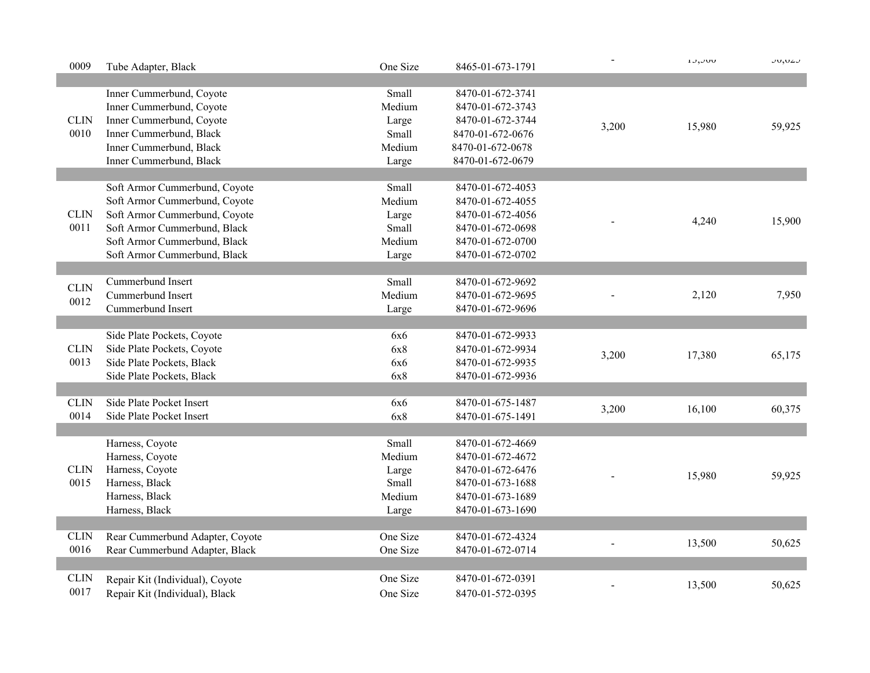| 0009        | Tube Adapter, Black             | One Size | 8465-01-673-1791 |       | $1J, J\cup J$ | JU, UZJ |
|-------------|---------------------------------|----------|------------------|-------|---------------|---------|
|             |                                 |          |                  |       |               |         |
|             | Inner Cummerbund, Coyote        | Small    | 8470-01-672-3741 |       |               |         |
|             | Inner Cummerbund, Coyote        | Medium   | 8470-01-672-3743 |       |               |         |
| <b>CLIN</b> | Inner Cummerbund, Coyote        | Large    | 8470-01-672-3744 | 3,200 | 15,980        | 59,925  |
| 0010        | Inner Cummerbund, Black         | Small    | 8470-01-672-0676 |       |               |         |
|             | Inner Cummerbund, Black         | Medium   | 8470-01-672-0678 |       |               |         |
|             | Inner Cummerbund, Black         | Large    | 8470-01-672-0679 |       |               |         |
|             |                                 |          |                  |       |               |         |
|             | Soft Armor Cummerbund, Coyote   | Small    | 8470-01-672-4053 |       |               |         |
|             | Soft Armor Cummerbund, Coyote   | Medium   | 8470-01-672-4055 |       |               |         |
| <b>CLIN</b> | Soft Armor Cummerbund, Coyote   | Large    | 8470-01-672-4056 |       |               |         |
| 0011        | Soft Armor Cummerbund, Black    | Small    | 8470-01-672-0698 |       | 4,240         | 15,900  |
|             | Soft Armor Cummerbund, Black    | Medium   | 8470-01-672-0700 |       |               |         |
|             | Soft Armor Cummerbund, Black    | Large    | 8470-01-672-0702 |       |               |         |
|             |                                 |          |                  |       |               |         |
|             | Cummerbund Insert               | Small    | 8470-01-672-9692 |       |               |         |
| <b>CLIN</b> | Cummerbund Insert               | Medium   | 8470-01-672-9695 |       | 2,120         | 7,950   |
| 0012        | Cummerbund Insert               | Large    | 8470-01-672-9696 |       |               |         |
|             |                                 |          |                  |       |               |         |
|             | Side Plate Pockets, Coyote      | 6x6      | 8470-01-672-9933 |       |               |         |
| <b>CLIN</b> | Side Plate Pockets, Coyote      | 6x8      | 8470-01-672-9934 |       |               |         |
| 0013        | Side Plate Pockets, Black       | 6x6      | 8470-01-672-9935 | 3,200 | 17,380        | 65,175  |
|             | Side Plate Pockets, Black       | 6x8      | 8470-01-672-9936 |       |               |         |
|             |                                 |          |                  |       |               |         |
| <b>CLIN</b> | Side Plate Pocket Insert        | 6x6      | 8470-01-675-1487 |       |               |         |
| 0014        | Side Plate Pocket Insert        | 6x8      | 8470-01-675-1491 | 3,200 | 16,100        | 60,375  |
|             |                                 |          |                  |       |               |         |
|             | Harness, Coyote                 | Small    | 8470-01-672-4669 |       |               |         |
|             | Harness, Coyote                 | Medium   | 8470-01-672-4672 |       |               |         |
| <b>CLIN</b> | Harness, Coyote                 | Large    | 8470-01-672-6476 |       | 15,980        |         |
| 0015        | Harness, Black                  | Small    | 8470-01-673-1688 |       |               | 59,925  |
|             | Harness, Black                  | Medium   | 8470-01-673-1689 |       |               |         |
|             | Harness, Black                  | Large    | 8470-01-673-1690 |       |               |         |
|             |                                 |          |                  |       |               |         |
| <b>CLIN</b> | Rear Cummerbund Adapter, Coyote | One Size | 8470-01-672-4324 |       | 13,500        |         |
| 0016        | Rear Cummerbund Adapter, Black  | One Size | 8470-01-672-0714 |       |               | 50,625  |
|             |                                 |          |                  |       |               |         |
| <b>CLIN</b> | Repair Kit (Individual), Coyote | One Size | 8470-01-672-0391 |       | 13,500        | 50,625  |
| 0017        | Repair Kit (Individual), Black  | One Size | 8470-01-572-0395 |       |               |         |